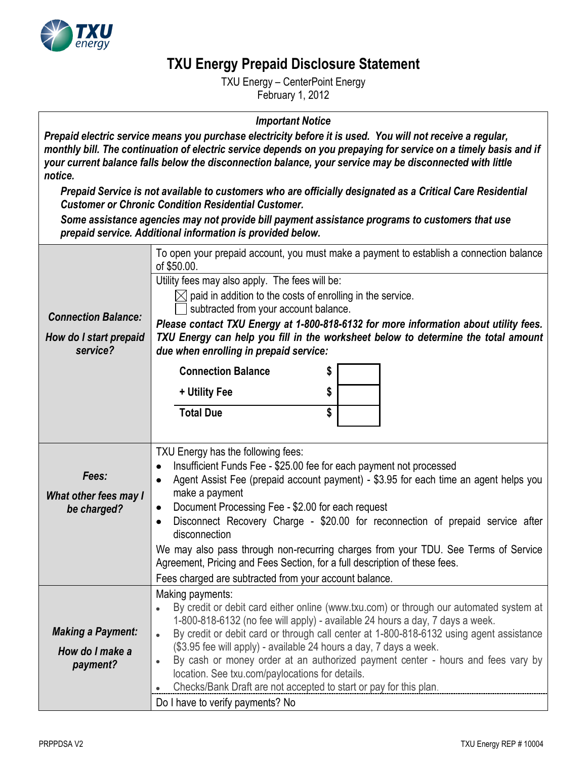

## **TXU Energy Prepaid Disclosure Statement**

TXU Energy – CenterPoint Energy February 1, 2012

## *Important Notice*

*Prepaid electric service means you purchase electricity before it is used. You will not receive a regular, monthly bill. The continuation of electric service depends on you prepaying for service on a timely basis and if your current balance falls below the disconnection balance, your service may be disconnected with little notice.*

*Prepaid Service is not available to customers who are officially designated as a Critical Care Residential Customer or Chronic Condition Residential Customer.*

*Some assistance agencies may not provide bill payment assistance programs to customers that use prepaid service. Additional information is provided below.*

|                                                                  | propaia sorvice. Additional imonitation is provided below                                                                                                                                                                                                                                                                                                                                                                                                                                                                                                                                                                                                     |                |                                                                                                                                                                                                                                                                      |  |
|------------------------------------------------------------------|---------------------------------------------------------------------------------------------------------------------------------------------------------------------------------------------------------------------------------------------------------------------------------------------------------------------------------------------------------------------------------------------------------------------------------------------------------------------------------------------------------------------------------------------------------------------------------------------------------------------------------------------------------------|----------------|----------------------------------------------------------------------------------------------------------------------------------------------------------------------------------------------------------------------------------------------------------------------|--|
| <b>Connection Balance:</b><br>How do I start prepaid<br>service? | of \$50.00.<br>Utility fees may also apply. The fees will be:<br>$\boxtimes$ paid in addition to the costs of enrolling in the service.<br>subtracted from your account balance.<br>due when enrolling in prepaid service:<br><b>Connection Balance</b><br>+ Utility Fee<br><b>Total Due</b>                                                                                                                                                                                                                                                                                                                                                                  | \$<br>\$<br>\$ | To open your prepaid account, you must make a payment to establish a connection balance<br>Please contact TXU Energy at 1-800-818-6132 for more information about utility fees.<br>TXU Energy can help you fill in the worksheet below to determine the total amount |  |
|                                                                  |                                                                                                                                                                                                                                                                                                                                                                                                                                                                                                                                                                                                                                                               |                |                                                                                                                                                                                                                                                                      |  |
| Fees:<br>What other fees may I<br>be charged?                    | TXU Energy has the following fees:<br>Insufficient Funds Fee - \$25.00 fee for each payment not processed<br>$\bullet$<br>Agent Assist Fee (prepaid account payment) - \$3.95 for each time an agent helps you<br>$\bullet$<br>make a payment<br>Document Processing Fee - \$2.00 for each request<br>$\bullet$<br>Disconnect Recovery Charge - \$20.00 for reconnection of prepaid service after<br>$\bullet$<br>disconnection<br>We may also pass through non-recurring charges from your TDU. See Terms of Service<br>Agreement, Pricing and Fees Section, for a full description of these fees.<br>Fees charged are subtracted from your account balance. |                |                                                                                                                                                                                                                                                                      |  |
| <b>Making a Payment:</b><br>How do I make a<br>payment?          | Making payments:<br>By credit or debit card either online (www.txu.com) or through our automated system at<br>$\bullet$<br>1-800-818-6132 (no fee will apply) - available 24 hours a day, 7 days a week.<br>By credit or debit card or through call center at 1-800-818-6132 using agent assistance<br>$\bullet$<br>(\$3.95 fee will apply) - available 24 hours a day, 7 days a week.<br>By cash or money order at an authorized payment center - hours and fees vary by<br>$\bullet$<br>location. See txu.com/paylocations for details.<br>Checks/Bank Draft are not accepted to start or pay for this plan.<br>Do I have to verify payments? No            |                |                                                                                                                                                                                                                                                                      |  |